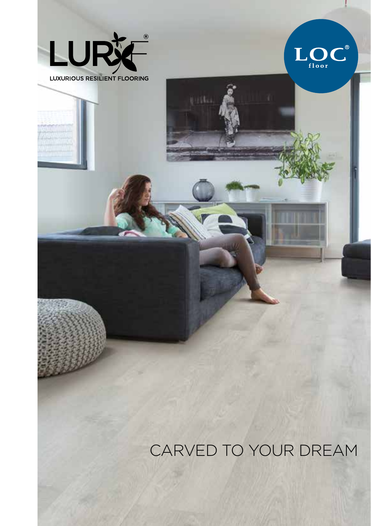



CARVED TO YOUR DREAM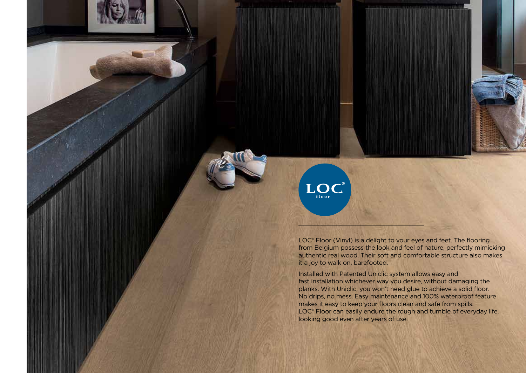LOC<sup>®</sup> Floor (Vinyl) is a delight to your eyes and feet. The flooring from Belgium possess the look and feel of nature, perfectly mimicking authentic real wood. Their soft and comfortable structure also makes it a joy to walk on, barefooted.

 $LOC^{\text{th}}$ 

Installed with Patented Uniclic system allows easy and fast installation whichever way you desire, without damaging the planks. With Uniclic, you won't need glue to achieve a solid floor. No drips, no mess. Easy maintenance and 100% waterproof feature makes it easy to keep your floors clean and safe from spills. LOC<sup>®</sup> Floor can easily endure the rough and tumble of everyday life, looking good even after years of use.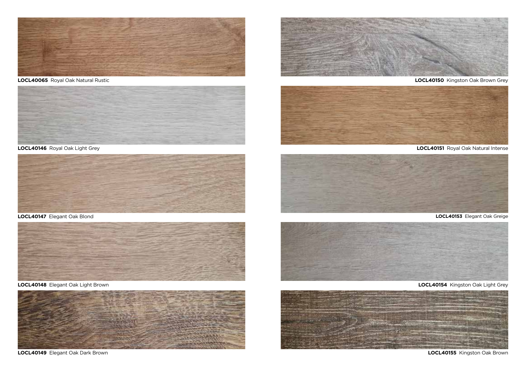

**LOCL40065** Royal Oak Natural Rustic



**LOCL40146** Royal Oak Light Grey



**LOCL40147** Elegant Oak Blond



**LOCL40148** Elegant Oak Light Brown



**LOCL40149** Elegant Oak Dark Brown



**LOCL40150** Kingston Oak Brown Grey



**LOCL40151** Royal Oak Natural Intense



**LOCL40153** Elegant Oak Greige



**LOCL40154** Kingston Oak Light Grey



**LOCL40155** Kingston Oak Brown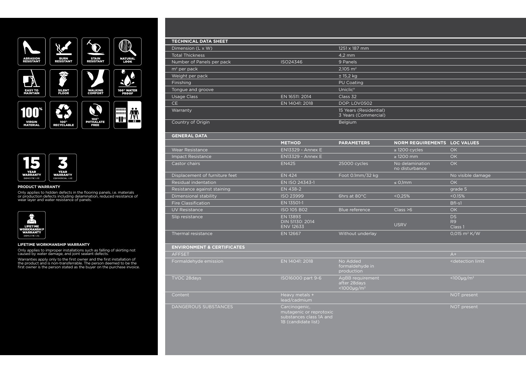



#### **PRODUCT WARRANTY**

Only applies to hidden defects in the flooring panels, i.e. materials or production defects including delamination, reduced resistance of wear layer and water resistance of panels.



#### **LIFETIME WORKMANSHIP WARRANTY**

Only applies to improper installations such as falling of skirting not caused by water damage, and joint sealant defects.

Warranties apply only to the first owner and the first installation of<br>the product and is non-transferrable. The person deemed to be the<br>first owner is the person stated as the buyer on the purchase invoice.

## **TECHNICAL DATA SHEET**

| Dimension (L x W)         |                | 1251 x 187 mm                                  |
|---------------------------|----------------|------------------------------------------------|
| <b>Total Thickness</b>    |                | $4.2 \text{ mm}$                               |
| Number of Panels per pack | ISO24346       | 9 Panels                                       |
| $m2$ per pack             |                | $2,105$ m <sup>2</sup>                         |
| Weight per pack           |                | ± 15,2 kg                                      |
| Finishing                 |                | PU Coating                                     |
| Tongue and groove         |                | Uniclic <sup>®</sup>                           |
| <b>Usage Class</b>        | EN 16511: 2014 | Class 32                                       |
| <b>CE</b>                 | EN 14041: 2018 | <b>DOP: LOV0502</b>                            |
| Warranty                  |                | 15 Years (Residential)<br>3 Years (Commercial) |
| Country of Origin         |                | Belgium                                        |
|                           |                |                                                |

### **GENERAL DATA**

|                                | <b>METHOD</b>                                   | <b>PARAMETERS</b> | <b>NORM REQUIREMENTS</b>          | <b>LOC VALUES</b>                 |
|--------------------------------|-------------------------------------------------|-------------------|-----------------------------------|-----------------------------------|
| <b>Wear Resistance</b>         | <b>EN13329 - Annex E</b>                        |                   | $\geq$ 1200 cycles                | OK                                |
| <b>Impact Resistance</b>       | <b>EN13329 - Annex E</b>                        |                   | $\geq$ 1200 mm                    | OK                                |
| Castor chairs                  | <b>EN425</b>                                    | 25000 cycles      | No delamination<br>no disturbance | OK                                |
| Displacement of furniture feet | <b>EN 424</b>                                   | Foot 0.1mm/32 kg  |                                   | No visible damage                 |
| Residual indentation           | EN ISO 24343-1                                  |                   | $\leq$ 0,1mm                      | OK                                |
| Resistance against staining    | EN 438-2                                        |                   |                                   | grade 5                           |
| Dimensional stability          | <b>ISO 23999</b>                                | 6hrs at 80°C      | < 0.25%                           | < 0.15%                           |
| <b>Fire Classification</b>     | EN 13501-1                                      |                   |                                   | Bfl-s1                            |
| UV Resistance                  | <b>ISO 105 B02</b>                              | Blue reference.   | Class > 6                         | OK                                |
| Slip resistance                | EN 13893<br>DIN 51130: 2014<br><b>ENV 12633</b> |                   | <b>USRV</b>                       | <b>DS</b><br><b>R9</b><br>Class 1 |
| Thermal resistance             | <b>EN 12667</b>                                 | Without underlay  |                                   | 0,015 $m^2 K/W$                   |

### **ENVIRONMENT & CERTIFICATES**

| <b>AFFSET</b>         |                                                                                            |                                                               | $A+$                                    |
|-----------------------|--------------------------------------------------------------------------------------------|---------------------------------------------------------------|-----------------------------------------|
| Formaldehyde emission | EN 14041: 2018                                                                             | No Added<br>formaldehyde in<br>production                     | <detection limit<="" td=""></detection> |
| TVOC 28days           | ISO16000 part 9-6                                                                          | AgBB requirement<br>after 28days<br>$<$ 1000µg/m <sup>3</sup> | $<$ 100µg/m <sup>3</sup>                |
| Content               | Heavy metals +<br>lead/cadmium                                                             |                                                               | NOT present                             |
| DANGEROUS SUBSTANCES  | Carcinogenic,<br>mutagenic or reprotoxic<br>substances class 1A and<br>1B (candidate list) |                                                               | NOT present                             |